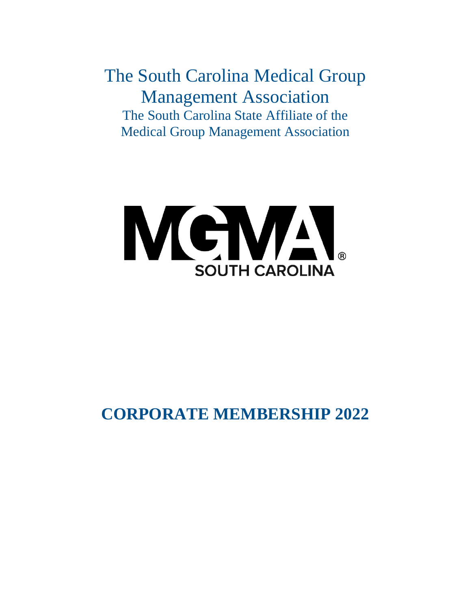The South Carolina Medical Group Management Association The South Carolina State Affiliate of the Medical Group Management Association



# **CORPORATE MEMBERSHIP 2022**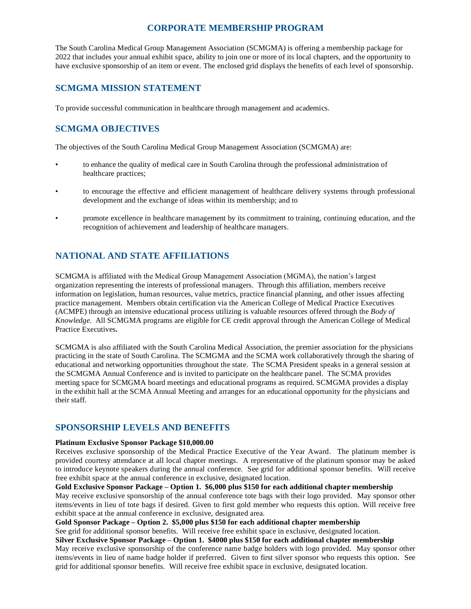## **CORPORATE MEMBERSHIP PROGRAM**

The South Carolina Medical Group Management Association (SCMGMA) is offering a membership package for 2022 that includes your annual exhibit space, ability to join one or more of its local chapters, and the opportunity to have exclusive sponsorship of an item or event. The enclosed grid displays the benefits of each level of sponsorship.

## **SCMGMA MISSION STATEMENT**

To provide successful communication in healthcare through management and academics.

# **SCMGMA OBJECTIVES**

The objectives of the South Carolina Medical Group Management Association (SCMGMA) are:

- to enhance the quality of medical care in South Carolina through the professional administration of healthcare practices;
- to encourage the effective and efficient management of healthcare delivery systems through professional development and the exchange of ideas within its membership; and to
- promote excellence in healthcare management by its commitment to training, continuing education, and the recognition of achievement and leadership of healthcare managers.

# **NATIONAL AND STATE AFFILIATIONS**

SCMGMA is affiliated with the Medical Group Management Association (MGMA), the nation's largest organization representing the interests of professional managers. Through this affiliation, members receive information on legislation, human resources, value metrics, practice financial planning, and other issues affecting practice management. Members obtain certification via the American College of Medical Practice Executives (ACMPE) through an intensive educational process utilizing is valuable resources offered through the *Body of Knowledge*. All SCMGMA programs are eligible for CE credit approval through the American College of Medical Practice Executives**.** 

SCMGMA is also affiliated with the South Carolina Medical Association, the premier association for the physicians practicing in the state of South Carolina. The SCMGMA and the SCMA work collaboratively through the sharing of educational and networking opportunities throughout the state. The SCMA President speaks in a general session at the SCMGMA Annual Conference and is invited to participate on the healthcare panel. The SCMA provides meeting space for SCMGMA board meetings and educational programs as required. SCMGMA provides a display in the exhibit hall at the SCMA Annual Meeting and arranges for an educational opportunity for the physicians and their staff.

## **SPONSORSHIP LEVELS AND BENEFITS**

#### **Platinum Exclusive Sponsor Package \$10,000.00**

Receives exclusive sponsorship of the Medical Practice Executive of the Year Award. The platinum member is provided courtesy attendance at all local chapter meetings. A representative of the platinum sponsor may be asked to introduce keynote speakers during the annual conference. See grid for additional sponsor benefits. Will receive free exhibit space at the annual conference in exclusive, designated location.

#### **Gold Exclusive Sponsor Package – Option 1. \$6,000 plus \$150 for each additional chapter membership**

May receive exclusive sponsorship of the annual conference tote bags with their logo provided. May sponsor other items/events in lieu of tote bags if desired. Given to first gold member who requests this option. Will receive free exhibit space at the annual conference in exclusive, designated area.

**Gold Sponsor Package – Option 2. \$5,000 plus \$150 for each additional chapter membership**

See grid for additional sponsor benefits. Will receive free exhibit space in exclusive, designated location.

**Silver Exclusive Sponsor Package – Option 1. \$4000 plus \$150 for each additional chapter membership** May receive exclusive sponsorship of the conference name badge holders with logo provided. May sponsor other items/events in lieu of name badge holder if preferred. Given to first silver sponsor who requests this option. See grid for additional sponsor benefits. Will receive free exhibit space in exclusive, designated location.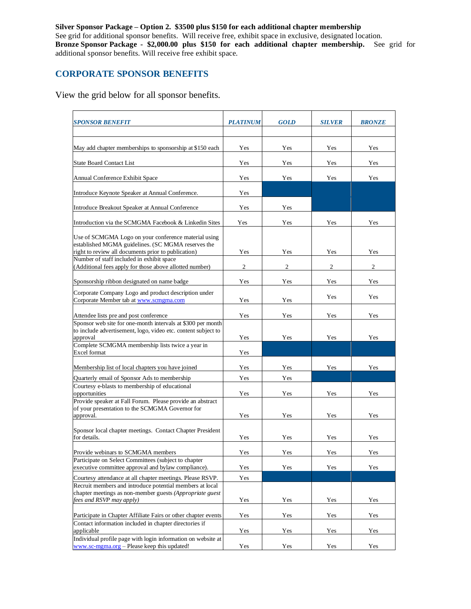**Silver Sponsor Package – Option 2. \$3500 plus \$150 for each additional chapter membership** See grid for additional sponsor benefits. Will receive free, exhibit space in exclusive, designated location. **Bronze Sponsor Package - \$2,000.00 plus \$150 for each additional chapter membership.** See grid for additional sponsor benefits. Will receive free exhibit space.

# **CORPORATE SPONSOR BENEFITS**

View the grid below for all sponsor benefits.

| <b>SPONSOR BENEFIT</b>                                                                                                                                            | <b>PLATINUM</b> | <b>GOLD</b>    | <b>SILVER</b> | <b>BRONZE</b> |
|-------------------------------------------------------------------------------------------------------------------------------------------------------------------|-----------------|----------------|---------------|---------------|
| May add chapter memberships to sponsorship at \$150 each                                                                                                          | Yes             | Yes            | Yes           | Yes           |
| <b>State Board Contact List</b>                                                                                                                                   | Yes             | Yes            | Yes           | Yes           |
| Annual Conference Exhibit Space                                                                                                                                   | Yes             | Yes            | Yes           | Yes           |
| Introduce Keynote Speaker at Annual Conference.                                                                                                                   | Yes             |                |               |               |
| Introduce Breakout Speaker at Annual Conference                                                                                                                   | Yes             | Yes            |               |               |
| Introduction via the SCMGMA Facebook & Linkedin Sites                                                                                                             | Yes             | Yes            | Yes           | Yes           |
| Use of SCMGMA Logo on your conference material using<br>established MGMA guidelines. (SC MGMA reserves the<br>right to review all documents prior to publication) | Yes             | Yes            | Yes           | Yes           |
| Number of staff included in exhibit space                                                                                                                         |                 |                |               |               |
| (Additional fees apply for those above allotted number)                                                                                                           | $\mathfrak{2}$  | $\overline{c}$ | 2             | 2             |
| Sponsorship ribbon designated on name badge                                                                                                                       | Yes             | Yes            | Yes           | Yes           |
| Corporate Company Logo and product description under<br>Corporate Member tab at www.scmgma.com                                                                    | Yes             | Yes            | Yes           | Yes           |
|                                                                                                                                                                   |                 |                |               |               |
| Attendee lists pre and post conference<br>Sponsor web site for one-month intervals at \$300 per month                                                             | Yes             | Yes            | Yes           | Yes           |
| to include advertisement, logo, video etc. content subject to                                                                                                     | Yes             |                |               |               |
| approval<br>Complete SCMGMA membership lists twice a year in                                                                                                      |                 | Yes            | Yes           | Yes           |
| Excel format                                                                                                                                                      | Yes             |                |               |               |
| Membership list of local chapters you have joined                                                                                                                 | Yes             | Yes            | Yes           | Yes           |
| Quarterly email of Sponsor Ads to membership                                                                                                                      | Yes             | Yes            |               |               |
| Courtesy e-blasts to membership of educational<br>opportunities                                                                                                   | Yes             | Yes            | Yes           | Yes           |
| Provide speaker at Fall Forum. Please provide an abstract<br>of your presentation to the SCMGMA Governor for<br>approval.                                         | Yes             | Yes            | Yes           | Yes           |
| Sponsor local chapter meetings. Contact Chapter President<br>for details.                                                                                         | Yes             | Yes            | Yes           | Yes           |
| Provide webinars to SCMGMA members                                                                                                                                | Yes             | Yes            | Yes           | Yes           |
| Participate on Select Committees (subject to chapter<br>executive committee approval and bylaw compliance).                                                       | Yes             | Yes            | Yes           | Yes           |
| Courtesy attendance at all chapter meetings. Please RSVP.                                                                                                         | Yes             |                |               |               |
| Recruit members and introduce potential members at local<br>chapter meetings as non-member guests (Appropriate guest                                              |                 |                |               |               |
| fees and RSVP may apply)                                                                                                                                          | Yes             | Yes            | Yes           | Yes           |
| Participate in Chapter Affiliate Fairs or other chapter events                                                                                                    | Yes             | Yes            | Yes           | Yes           |
| Contact information included in chapter directories if<br>applicable                                                                                              | Yes             | Yes            | Yes           | Yes           |
| Individual profile page with login information on website at<br>www.sc-mgma.org - Please keep this updated!                                                       | Yes             | Yes            | Yes           | Yes           |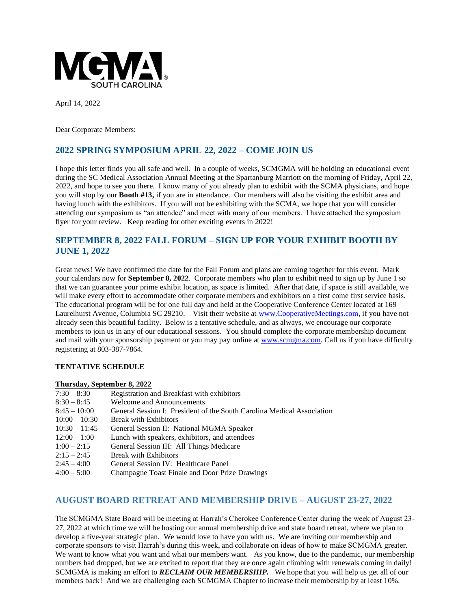

April 14, 2022

Dear Corporate Members:

# **2022 SPRING SYMPOSIUM APRIL 22, 2022 – COME JOIN US**

I hope this letter finds you all safe and well. In a couple of weeks, SCMGMA will be holding an educational event during the SC Medical Association Annual Meeting at the Spartanburg Marriott on the morning of Friday, April 22, 2022, and hope to see you there. I know many of you already plan to exhibit with the SCMA physicians, and hope you will stop by our **Booth #13,** if you are in attendance. Our members will also be visiting the exhibit area and having lunch with the exhibitors. If you will not be exhibiting with the SCMA, we hope that you will consider attending our symposium as "an attendee" and meet with many of our members. I have attached the symposium flyer for your review. Keep reading for other exciting events in 2022!

## **SEPTEMBER 8, 2022 FALL FORUM – SIGN UP FOR YOUR EXHIBIT BOOTH BY JUNE 1, 2022**

Great news! We have confirmed the date for the Fall Forum and plans are coming together for this event. Mark your calendars now for **September 8, 2022**. Corporate members who plan to exhibit need to sign up by June 1 so that we can guarantee your prime exhibit location, as space is limited. After that date, if space is still available, we will make every effort to accommodate other corporate members and exhibitors on a first come first service basis. The educational program will be for one full day and held at the Cooperative Conference Center located at 169 Laurelhurst Avenue, Columbia SC 29210. Visit their website at [www.CooperativeMeetings.com,](http://www.cooperativemeetings.com/) if you have not already seen this beautiful facility. Below is a tentative schedule, and as always, we encourage our corporate members to join us in any of our educational sessions. You should complete the corporate membership document and mail with your sponsorship payment or you may pay online a[t www.scmgma.com.](http://www.scmgma.com/) Call us if you have difficulty registering at 803-387-7864.

#### **TENTATIVE SCHEDULE**

#### **Thursday, September 8, 2022**

| $7:30 - 8:30$   | Registration and Breakfast with exhibitors                             |
|-----------------|------------------------------------------------------------------------|
| $8:30 - 8:45$   | <b>Welcome and Announcements</b>                                       |
| $8:45 - 10:00$  | General Session I: President of the South Carolina Medical Association |
| $10:00 - 10:30$ | <b>Break with Exhibitors</b>                                           |
| $10:30 - 11:45$ | General Session II: National MGMA Speaker                              |
| $12:00 - 1:00$  | Lunch with speakers, exhibitors, and attendees                         |
| $1:00 - 2:15$   | General Session III: All Things Medicare                               |
| $2:15 - 2:45$   | <b>Break with Exhibitors</b>                                           |
| $2:45 - 4:00$   | General Session IV: Healthcare Panel                                   |
| $4:00 - 5:00$   | Champagne Toast Finale and Door Prize Drawings                         |

#### **AUGUST BOARD RETREAT AND MEMBERSHIP DRIVE – AUGUST 23-27, 2022**

The SCMGMA State Board will be meeting at Harrah's Cherokee Conference Center during the week of August 23- 27, 2022 at which time we will be hosting our annual membership drive and state board retreat, where we plan to develop a five-year strategic plan. We would love to have you with us. We are inviting our membership and corporate sponsors to visit Harrah's during this week, and collaborate on ideas of how to make SCMGMA greater. We want to know what you want and what our members want. As you know, due to the pandemic, our membership numbers had dropped, but we are excited to report that they are once again climbing with renewals coming in daily! SCMGMA is making an effort to *RECLAIM OUR MEMBERSHIP.* We hope that you will help us get all of our members back! And we are challenging each SCMGMA Chapter to increase their membership by at least 10%.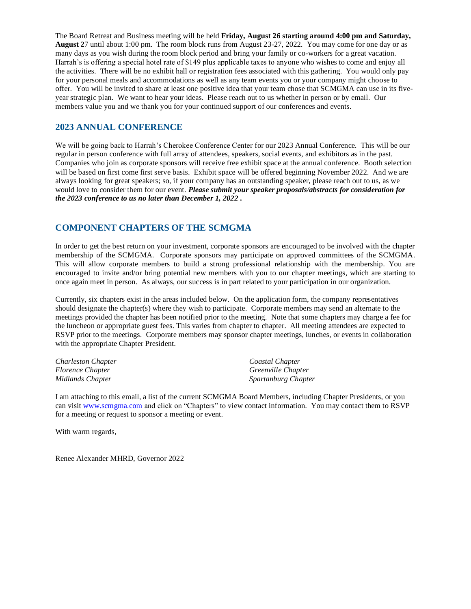The Board Retreat and Business meeting will be held **Friday, August 26 starting around 4:00 pm and Saturday, August 2**7 until about 1:00 pm. The room block runs from August 23-27, 2022. You may come for one day or as many days as you wish during the room block period and bring your family or co-workers for a great vacation. Harrah's is offering a special hotel rate of \$149 plus applicable taxes to anyone who wishes to come and enjoy all the activities. There will be no exhibit hall or registration fees associated with this gathering. You would only pay for your personal meals and accommodations as well as any team events you or your company might choose to offer. You will be invited to share at least one positive idea that your team chose that SCMGMA can use in its fiveyear strategic plan. We want to hear your ideas. Please reach out to us whether in person or by email. Our members value you and we thank you for your continued support of our conferences and events.

## **2023 ANNUAL CONFERENCE**

We will be going back to Harrah's Cherokee Conference Center for our 2023 Annual Conference. This will be our regular in person conference with full array of attendees, speakers, social events, and exhibitors as in the past. Companies who join as corporate sponsors will receive free exhibit space at the annual conference. Booth selection will be based on first come first serve basis. Exhibit space will be offered beginning November 2022. And we are always looking for great speakers; so, if your company has an outstanding speaker, please reach out to us, as we would love to consider them for our event. *Please submit your speaker proposals/abstracts for consideration for the 2023 conference to us no later than December 1, 2022 .*

## **COMPONENT CHAPTERS OF THE SCMGMA**

In order to get the best return on your investment, corporate sponsors are encouraged to be involved with the chapter membership of the SCMGMA. Corporate sponsors may participate on approved committees of the SCMGMA. This will allow corporate members to build a strong professional relationship with the membership. You are encouraged to invite and/or bring potential new members with you to our chapter meetings, which are starting to once again meet in person. As always, our success is in part related to your participation in our organization.

Currently, six chapters exist in the areas included below. On the application form, the company representatives should designate the chapter(s) where they wish to participate. Corporate members may send an alternate to the meetings provided the chapter has been notified prior to the meeting. Note that some chapters may charge a fee for the luncheon or appropriate guest fees. This varies from chapter to chapter. All meeting attendees are expected to RSVP prior to the meetings. Corporate members may sponsor chapter meetings, lunches, or events in collaboration with the appropriate Chapter President.

| <b>Charleston Chapter</b> | Coastal Chapter     |
|---------------------------|---------------------|
| <i>Florence Chapter</i>   | Greenville Chapter  |
| Midlands Chapter          | Spartanburg Chapter |

I am attaching to this email, a list of the current SCMGMA Board Members, including Chapter Presidents, or you can visit [www.scmgma.com](http://www.scmgma.com/) and click on "Chapters" to view contact information. You may contact them to RSVP for a meeting or request to sponsor a meeting or event.

With warm regards,

Renee Alexander MHRD, Governor 2022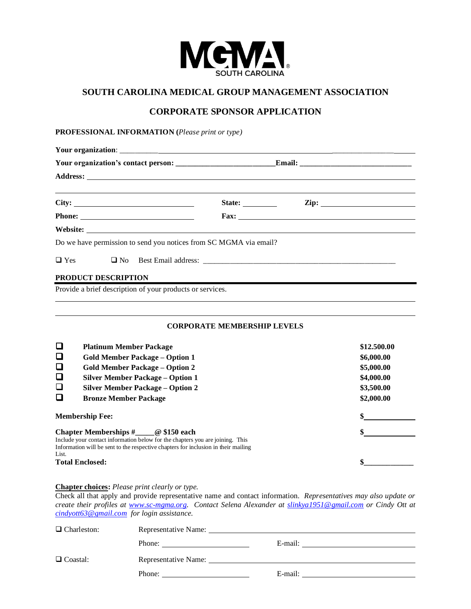

## **SOUTH CAROLINA MEDICAL GROUP MANAGEMENT ASSOCIATION**

# **CORPORATE SPONSOR APPLICATION**

#### **PROFESSIONAL INFORMATION (***Please print or type)*

| City:                                                     | State: $\qquad \qquad$                                            |  |
|-----------------------------------------------------------|-------------------------------------------------------------------|--|
|                                                           |                                                                   |  |
|                                                           |                                                                   |  |
|                                                           | Do we have permission to send you notices from SC MGMA via email? |  |
|                                                           |                                                                   |  |
| PRODUCT DESCRIPTION                                       |                                                                   |  |
| Provide a brief description of your products or services. |                                                                   |  |

#### **CORPORATE MEMBERSHIP LEVELS**

| $\Box$<br><b>Platinum Member Package</b><br>$\Box$<br><b>Gold Member Package - Option 1</b><br>$\Box$<br><b>Gold Member Package – Option 2</b><br>$\Box$<br><b>Silver Member Package - Option 1</b><br>$\Box$<br><b>Silver Member Package – Option 2</b><br>$\Box$<br><b>Bronze Member Package</b> | \$12.500.00<br>\$6,000.00<br>\$5,000.00<br>\$4,000.00<br>\$3,500.00<br>\$2,000.00 |
|----------------------------------------------------------------------------------------------------------------------------------------------------------------------------------------------------------------------------------------------------------------------------------------------------|-----------------------------------------------------------------------------------|
| <b>Membership Fee:</b>                                                                                                                                                                                                                                                                             |                                                                                   |
| Chapter Memberships $\#$ $\qquad \qquad \textcircled{150 each}$<br>Include your contact information below for the chapters you are joining. This<br>Information will be sent to the respective chapters for inclusion in their mailing<br>List.<br><b>Total Enclosed:</b>                          | \$                                                                                |

# **Chapter choices:** *Please print clearly or type.*

Check all that apply and provide representative name and contact information. *Representatives may also update or create their profiles at [www.sc-mgma.org.](http://www.sc-mgma.org/) Contact Selena Alexander at [slinkya1951@gmail.com](mailto:slinkya1951@gmail.com) or Cindy Ott at [cindyott63@gmail.com](mailto:cindyott63@gmail.com) for login assistance.*

| $\Box$ Charleston: | Representative Name:                                                                                                                                                                                                           |                                                                                                                       |
|--------------------|--------------------------------------------------------------------------------------------------------------------------------------------------------------------------------------------------------------------------------|-----------------------------------------------------------------------------------------------------------------------|
|                    | Phone: $\qquad \qquad$                                                                                                                                                                                                         | E-mail:                                                                                                               |
| $\Box$ Coastal:    | Representative Name:                                                                                                                                                                                                           | <u> 1980 - Jan Samuel Barbara, martin a shekara 1980 - An tsa a tsa a tsa a tsa a tsa a tsa a tsa a tsa a tsa a t</u> |
|                    | Phone: The contract of the contract of the contract of the contract of the contract of the contract of the contract of the contract of the contract of the contract of the contract of the contract of the contract of the con | E-mail:                                                                                                               |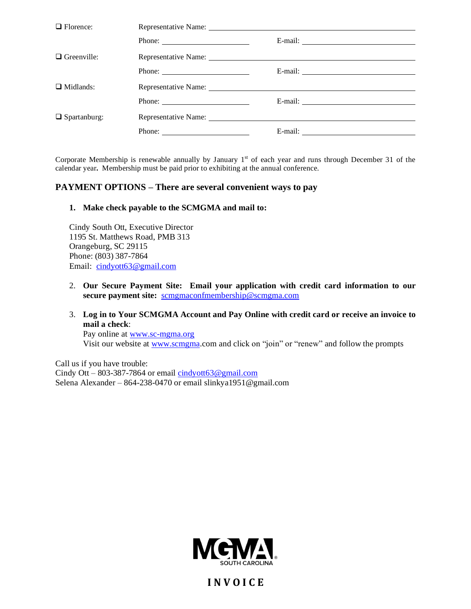| $\Box$ Florence:    |                                                                                                                                                                                                                                                                                                                                                                                                              |                         |
|---------------------|--------------------------------------------------------------------------------------------------------------------------------------------------------------------------------------------------------------------------------------------------------------------------------------------------------------------------------------------------------------------------------------------------------------|-------------------------|
|                     | Phone: $\frac{1}{\sqrt{1-\frac{1}{2}}\sqrt{1-\frac{1}{2}}\sqrt{1-\frac{1}{2}}\sqrt{1-\frac{1}{2}}\sqrt{1-\frac{1}{2}}\sqrt{1-\frac{1}{2}}\sqrt{1-\frac{1}{2}}\sqrt{1-\frac{1}{2}}\sqrt{1-\frac{1}{2}}\sqrt{1-\frac{1}{2}}\sqrt{1-\frac{1}{2}}\sqrt{1-\frac{1}{2}}\sqrt{1-\frac{1}{2}}\sqrt{1-\frac{1}{2}}\sqrt{1-\frac{1}{2}}\sqrt{1-\frac{1}{2}}\sqrt{1-\frac{1}{2}}\sqrt{1-\frac{1}{2}}\sqrt{1-\frac{1}{2$ |                         |
| $\Box$ Greenville:  |                                                                                                                                                                                                                                                                                                                                                                                                              |                         |
|                     | Phone: $\frac{1}{\sqrt{1-\frac{1}{2}} \cdot \frac{1}{2}}$                                                                                                                                                                                                                                                                                                                                                    | E-mail: $\qquad \qquad$ |
| $\Box$ Midlands:    |                                                                                                                                                                                                                                                                                                                                                                                                              |                         |
|                     |                                                                                                                                                                                                                                                                                                                                                                                                              |                         |
| $\Box$ Spartanburg: | Representative Name: University of the Contract of the Contract of the Contract of the Contract of the Contract of the Contract of the Contract of the Contract of the Contract of the Contract of the Contract of the Contrac                                                                                                                                                                               |                         |
|                     | Phone: $\qquad \qquad$                                                                                                                                                                                                                                                                                                                                                                                       |                         |

Corporate Membership is renewable annually by January  $1<sup>st</sup>$  of each year and runs through December 31 of the calendar year**.** Membership must be paid prior to exhibiting at the annual conference.

#### **PAYMENT OPTIONS – There are several convenient ways to pay**

**1. Make check payable to the SCMGMA and mail to:**

Cindy South Ott, Executive Director 1195 St. Matthews Road, PMB 313 Orangeburg, SC 29115 Phone: (803) 387-7864 Email: [cindyott63@gmail.com](mailto:cindyott63@gmail.com)

- 2. **Our Secure Payment Site: Email your application with credit card information to our secure payment site:** [scmgmaconfmembership@scmgma.com](mailto:scmgmaconfmembership@scmgma.com)
- 3. **Log in to Your SCMGMA Account and Pay Online with credit card or receive an invoice to mail a check**:

Pay online at [www.sc-mgma.org](http://www.sc-mgma.org/) Visit our website at [www.scmgma.](http://www.scmgma/)com and click on "join" or "renew" and follow the prompts

Call us if you have trouble: Cindy Ott – 803-387-7864 or email [cindyott63@gmail.com](mailto:cindyott63@gmail.com) Selena Alexander – 864-238-0470 or email slinkya1951@gmail.com



**I N V O I C E**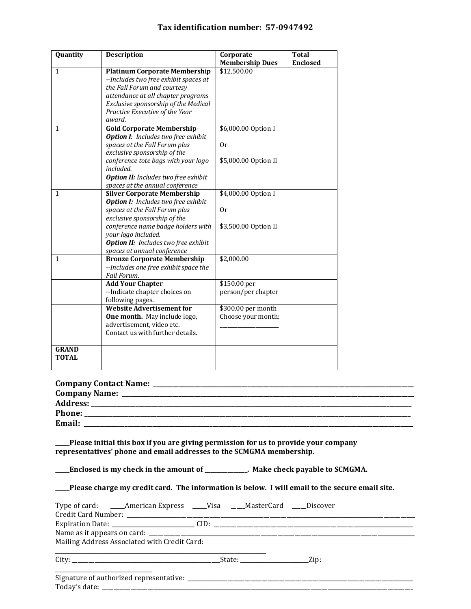#### **Tax identification number: 57-0947492**

| Quantity     | <b>Description</b>                          | Corporate              | <b>Total</b>    |
|--------------|---------------------------------------------|------------------------|-----------------|
|              |                                             | <b>Membership Dues</b> | <b>Enclosed</b> |
| $\mathbf{1}$ | <b>Platinum Corporate Membership</b>        | \$12,500.00            |                 |
|              | --Includes two free exhibit spaces at       |                        |                 |
|              | the Fall Forum and courtesy                 |                        |                 |
|              | attendance at all chapter programs          |                        |                 |
|              | Exclusive sponsorship of the Medical        |                        |                 |
|              | Practice Executive of the Year              |                        |                 |
|              | award.                                      |                        |                 |
| $\mathbf{1}$ | <b>Gold Corporate Membership-</b>           | \$6,000.00 Option I    |                 |
|              | <b>Option I:</b> Includes two free exhibit  |                        |                 |
|              | spaces at the Fall Forum plus               | 0r                     |                 |
|              | exclusive sponsorship of the                |                        |                 |
|              | conference tote bags with your logo         | \$5,000.00 Option II   |                 |
|              | included.                                   |                        |                 |
|              | <b>Option II:</b> Includes two free exhibit |                        |                 |
|              | spaces at the annual conference             |                        |                 |
| $\mathbf{1}$ | <b>Silver Corporate Membership</b>          | \$4,000.00 Option I    |                 |
|              | <b>Option I:</b> Includes two free exhibit  |                        |                 |
|              | spaces at the Fall Forum plus               | 0r                     |                 |
|              | exclusive sponsorship of the                |                        |                 |
|              | conference name badge holders with          | \$3,500.00 Option II   |                 |
|              | your logo included.                         |                        |                 |
|              | Option II: Includes two free exhibit        |                        |                 |
|              | spaces at annual conference                 |                        |                 |
| $\mathbf{1}$ | <b>Bronze Corporate Membership</b>          | \$2,000.00             |                 |
|              | --Includes one free exhibit space the       |                        |                 |
|              | Fall Forum.                                 |                        |                 |
|              | <b>Add Your Chapter</b>                     | \$150.00 per           |                 |
|              | --Indicate chapter choices on               | person/per chapter     |                 |
|              | following pages.                            |                        |                 |
|              | <b>Website Advertisement for</b>            | $$300.00$ per month    |                 |
|              | One month. May include logo,                | Choose your month:     |                 |
|              | advertisement, video etc.                   |                        |                 |
|              | Contact us with further details.            |                        |                 |
| <b>GRAND</b> |                                             |                        |                 |
| <b>TOTAL</b> |                                             |                        |                 |
|              |                                             |                        |                 |

| <b>Company Contact Name:</b> |  |
|------------------------------|--|
| <b>Company Name:</b>         |  |
| <b>Address:</b>              |  |
| <b>Phone:</b>                |  |
| Email:                       |  |

**\_\_\_\_\_Please initial this box if you are giving permission for us to provide your company representatives' phone and email addresses to the SCMGMA membership.**

**\_\_\_\_\_Enclosed is my check in the amount of \_\_\_\_\_\_\_\_\_\_\_\_\_\_\_. Make check payable to SCMGMA.**

|  |  | _Please charge my credit card. The information is below. I will email to the secure email site. |
|--|--|-------------------------------------------------------------------------------------------------|
|--|--|-------------------------------------------------------------------------------------------------|

| Type of card: ____American Express ____Visa ____MasterCard ____Discover |  |  |
|-------------------------------------------------------------------------|--|--|
|                                                                         |  |  |
|                                                                         |  |  |
| Mailing Address Associated with Credit Card:                            |  |  |
|                                                                         |  |  |
|                                                                         |  |  |
|                                                                         |  |  |
|                                                                         |  |  |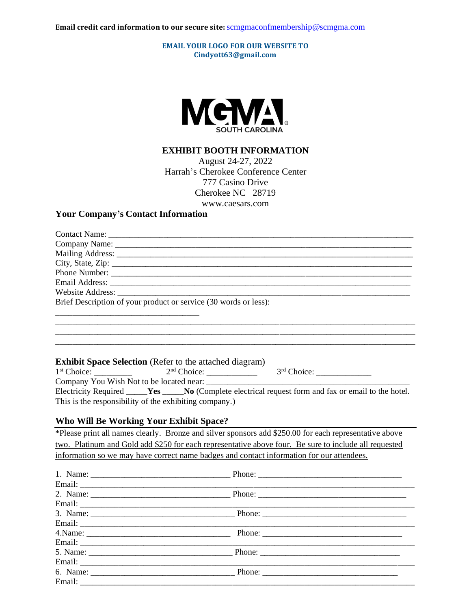**EMAIL YOUR LOGO FOR OUR WEBSITE TO Cindyott63@gmail.com**



#### **EXHIBIT BOOTH INFORMATION**

August 24-27, 2022 Harrah's Cherokee Conference Center 777 Casino Drive Cherokee NC 28719 www.caesars.com

#### **Your Company's Contact Information**

| Brief Description of your product or service (30 words or less): |
|------------------------------------------------------------------|
|                                                                  |
|                                                                  |

\_\_\_\_\_\_\_\_\_\_\_\_\_\_\_\_\_\_\_\_\_\_\_\_\_\_\_\_\_\_\_\_\_\_\_\_\_\_\_\_\_\_\_\_\_\_\_\_\_\_\_\_\_\_\_\_\_\_\_\_\_\_\_\_\_\_\_\_\_\_\_\_\_\_\_\_\_\_\_\_\_\_\_\_\_ \_\_\_\_\_\_\_\_\_\_\_\_\_\_\_\_\_\_\_\_\_\_\_\_\_\_\_\_\_\_\_\_\_\_\_\_\_\_\_\_\_\_\_\_\_\_\_\_\_\_\_\_\_\_\_\_\_\_\_\_\_\_\_\_\_\_\_\_\_\_\_\_\_\_\_\_\_\_\_\_\_\_\_\_\_

#### **Exhibit Space Selection** (Refer to the attached diagram)

| 1 <sup>st</sup> Choice:                                | $2nd$ Choice: | $3rd$ Choice:                                                                                          |
|--------------------------------------------------------|---------------|--------------------------------------------------------------------------------------------------------|
| Company You Wish Not to be located near:               |               |                                                                                                        |
|                                                        |               | Electricity Required _____Yes _____No (Complete electrical request form and fax or email to the hotel. |
| This is the responsibility of the exhibiting company.) |               |                                                                                                        |

#### **Who Will Be Working Your Exhibit Space?**

\*Please print all names clearly. Bronze and silver sponsors add \$250.00 for each representative above two. Platinum and Gold add \$250 for each representative above four. Be sure to include all requested information so we may have correct name badges and contact information for our attendees.

| 5. Name: Phone: Phone: 2008. Phone: 2008. Phone: 2008. Phone: 2008. Phone: 2008. Phone: 2008. Phone: 2008. Phone: 2008. Phone: 2008. Phone: 2008. Phone: 2008. Phone: 2008. Phone: 2008. Phone: 2008. Phone: 2008. Phone: 2008 |  |
|--------------------------------------------------------------------------------------------------------------------------------------------------------------------------------------------------------------------------------|--|
|                                                                                                                                                                                                                                |  |
|                                                                                                                                                                                                                                |  |
|                                                                                                                                                                                                                                |  |